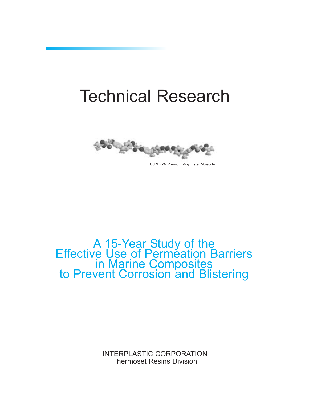# Technical Research



CoREZYN Premium Vinyl Ester Molecule

# A 15-Year Study of the<br>Effective Use of Permeation Barriers in Marine Composites<br>to Prevent Corrosion and Blistering

INTERPLASTIC CORPORATION Thermoset Resins Division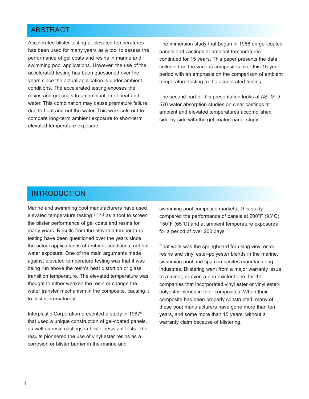#### ABSTRACT

Accelerated blister testing at elevated temperatures has been used for many years as a tool to assess the performance of gel coats and resins in marine and swimming pool applications. However, the use of the accelerated testing has been questioned over the years since the actual application is under ambient conditions. The accelerated testing exposes the resins and gel coats to a combination of heat and water. This combination may cause premature failure due to heat and not the water. This work sets out to compare long-term ambient exposure to short-term elevated temperature exposure.

The immersion study that began in 1986 on gel-coated panels and castings at ambient temperatures continued for 15 years. This paper presents the data collected on the various composites over this 15-year period with an emphasis on the comparison of ambient temperature testing to the accelerated testing.

The second part of this presentation looks at ASTM D 570 water absorption studies on clear castings at ambient and elevated temperatures accomplished side-by-side with the gel-coated panel study.

#### INTRODUCTION

Marine and swimming pool manufacturers have used elevated temperature testing 1,2,3,4 as a tool to screen the blister performance of gel coats and resins for many years. Results from the elevated temperature testing have been questioned over the years since the actual application is at ambient conditions, not hot water exposure. One of the main arguments made against elevated temperature testing was that it was being run above the resin's heat distortion or glass transition temperature. The elevated temperature was thought to either weaken the resin or change the water transfer mechanism in the composite, causing it to blister prematurely.

Interplastic Corporation presented a study in 19875 that used a unique construction of gel-coated panels, as well as resin castings in blister resistant tests. The results pioneered the use of vinyl ester resins as a corrosion or blister barrier in the marine and

swimming pool composite markets. This study compared the performance of panels at 200°F (93°C), 150°F (65°C) and at ambient temperature exposures for a period of over 200 days.

That work was the springboard for using vinyl ester resins and vinyl ester-polyester blends in the marine, swimming pool and spa composites manufacturing industries. Blistering went from a major warranty issue to a minor, or even a non-existent one, for the companies that incorporated vinyl ester or vinyl esterpolyester blends in their composites. When their composite has been properly constructed, many of these boat manufacturers have gone more than ten years, and some more than 15 years, without a warranty claim because of blistering.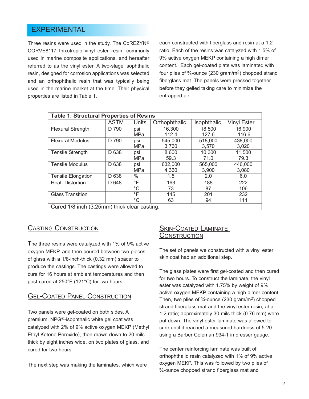#### EXPERIMENTAL

Three resins were used in the study. The CoREZYN<sup>®</sup> CORVE8117 thixotropic vinyl ester resin, commonly used in marine composite applications, and hereafter referred to as the vinyl ester. A two-stage isophthalic resin, designed for corrosion applications was selected and an orthophthalic resin that was typically being used in the marine market at the time. Their physical properties are listed in Table 1.

each constructed with fiberglass and resin at a 1:2 ratio. Each of the resins was catalyzed with 1.5% of 9% active oxygen MEKP containing a high dimer content. Each gel-coated plate was laminated with four plies of  $\frac{3}{4}$ -ounce (230 gram/m<sup>2</sup>) chopped strand fiberglass mat. The panels were pressed together before they gelled taking care to minimize the entrapped air.

| <b>Table 1: Structural Properties of Resins</b> |             |              |               |             |                    |  |
|-------------------------------------------------|-------------|--------------|---------------|-------------|--------------------|--|
|                                                 | <b>ASTM</b> | <b>Units</b> | Orthophthalic | Isophthalic | <b>Vinyl Ester</b> |  |
| <b>Flexural Strength</b>                        | D 790       | psi          | 16,300        | 18,500      | 16,900             |  |
|                                                 |             | MPa          | 112.4         | 127.6       | 116.6              |  |
| <b>Flexural Modulus</b>                         | D 790       | psi          | 545,000       | 518,000     | 438,000            |  |
|                                                 |             | <b>MPa</b>   | 3,760         | 3.570       | 3,020              |  |
| <b>Tensile Strength</b>                         | D 638       | psi          | 8,600         | 10,300      | 11,500             |  |
|                                                 |             | <b>MPa</b>   | 59.3          | 71.0        | 79.3               |  |
| <b>Tensile Modulus</b>                          | D 638       | psi          | 632,000       | 565,000     | 446,000            |  |
|                                                 |             | <b>MPa</b>   | 4,360         | 3,900       | 3,080              |  |
| <b>Tensile Elongation</b>                       | D 638       | $\%$         | 1.5           | 2.0         | 6.0                |  |
| Heat Distortion                                 | D 648       | $\degree$ F  | 163           | 188         | 222                |  |
|                                                 |             | $^{\circ}C$  | 73            | 87          | 106                |  |
| <b>Glass Transition</b>                         |             | $\mathsf{P}$ | 145           | 201         | 232                |  |
|                                                 |             | $^{\circ}C$  | 63            | 94          | 111                |  |
| Cured 1/8 inch (3.25mm) thick clear casting.    |             |              |               |             |                    |  |

#### CASTING CONSTRUCTION

The three resins were catalyzed with 1% of 9% active oxygen MEKP, and then poured between two pieces of glass with a 1/8-inch-thick (0.32 mm) spacer to produce the castings. The castings were allowed to cure for 16 hours at ambient temperatures and then post-cured at 250°F (121°C) for two hours.

#### GEL-COATED PANEL CONSTRUCTION

Two panels were gel-coated on both sides. A premium, NPG<sup>®</sup>-isophthalic white gel coat was catalyzed with 2% of 9% active oxygen MEKP (Methyl Ethyl Ketone Peroxide), then drawn down to 20 mils thick by eight inches wide, on two plates of glass, and cured for two hours.

The next step was making the laminates, which were

#### **SKIN-COATED LAMINATE CONSTRUCTION**

The set of panels we constructed with a vinyl ester skin coat had an additional step.

The glass plates were first gel-coated and then cured for two hours. To construct the laminate, the vinyl ester was catalyzed with 1.75% by weight of 9% active oxygen MEKP containing a high dimer content. Then, two plies of  $\frac{3}{4}$ -ounce (230 gram/m<sup>2</sup>) chopped strand fiberglass mat and the vinyl ester resin, at a 1:2 ratio; approximately 30 mils thick (0.76 mm) were put down. The vinyl ester laminate was allowed to cure until it reached a measured hardness of 5-20 using a Barber Coleman 934-1 impresser gauge.

The center reinforcing laminate was built of orthophthalic resin catalyzed with 1% of 9% active oxygen MEKP. This was followed by two plies of ¾-ounce chopped strand fiberglass mat and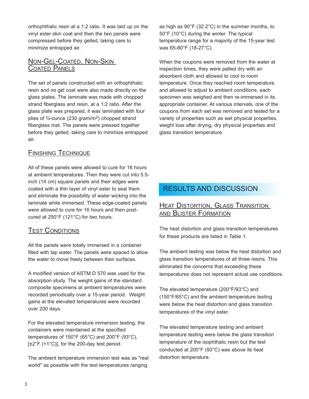orthophthalic resin at a 1:2 ratio. It was laid up on the vinyl ester skin coat and then the two panels were compressed before they gelled, taking care to minimize entrapped air.

#### NON-GEL-COATED, NON-SKIN COATED PANELS

The set of panels constructed with an orthophthalic resin and no gel coat were also made directly on the glass plates. The laminate was made with chopped strand fiberglass and resin, at a 1:2 ratio. After the glass plate was prepared, it was laminated with four plies of ¾-ounce (230 gram/m2) chopped strand fiberglass mat. The panels were pressed together before they gelled, taking care to minimize entrapped air.

#### FINISHING TECHNIQUE

All of these panels were allowed to cure for 16 hours at ambient temperatures. Then they were cut into 5.5 inch (14 cm) square panels and their edges were coated with a thin layer of vinyl ester to seal them and eliminate the possibility of water wicking into the laminate while immersed. These edge-coated panels were allowed to cure for 16 hours and then postcured at 250°F (121°C) for two hours.

#### TEST CONDITIONS

All the panels were totally immersed in a container filled with tap water. The panels were spaced to allow the water to move freely between their surfaces.

A modified version of ASTM D 570 was used for the absorption study. The weight gains of the standard composite specimens at ambient temperatures were recorded periodically over a 15-year period. Weight gains at the elevated temperatures were recorded over 200 days.

For the elevated temperature immersion testing, the containers were maintained at the specified temperatures of 150°F (65°C) and 200°F (93°C),  $[\pm 2^{\circ}$ F (+1 $^{\circ}$ C)], for the 200-day test period.

The ambient temperature immersion test was as "real world" as possible with the test temperatures ranging

as high as 90°F (32.2°C) in the summer months, to 50°F (10°C) during the winter. The typical temperature range for a majority of the 15-year test was 65-80°F (18-27°C).

When the coupons were removed from the water at inspection times, they were patted dry with an absorbent cloth and allowed to cool to room temperature. Once they reached room temperature and allowed to adjust to ambient conditions, each specimen was weighed and then re-immersed in its appropriate container. At various intervals, one of the coupons from each set was removed and tested for a variety of properties such as wet physical properties, weight loss after drying, dry physical properties and glass transition temperature.

# RESULTS AND DISCUSSION

#### HEAT DISTORTION, GLASS TRANSITION AND BLISTER FORMATION

The heat distortion and glass transition temperatures for these products are listed in Table 1.

The ambient testing was below the heat distortion and glass transition temperatures of all three resins. This eliminated the concerns that exceeding these temperatures does not represent actual use conditions.

The elevated temperature (200°F/93°C) and (150°F/65°C) and the ambient temperature testing were below the heat distortion and glass transition temperatures of the vinyl ester.

The elevated temperature testing and ambient temperature testing were below the glass transition temperature of the isophthalic resin but the test conducted at 200°F (93°C) was above its heat distortion temperature.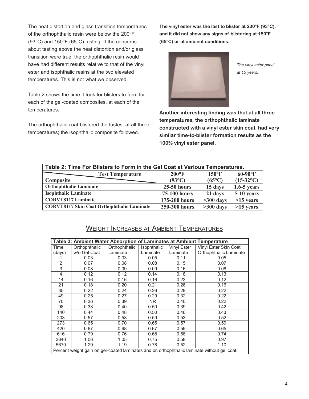The heat distortion and glass transition temperatures of the orthophthalic resin were below the 200°F (93°C) and 150°F (65°C) testing. If the concerns about testing above the heat distortion and/or glass transition were true, the orthophthalic resin would have had different results relative to that of the vinyl ester and isophthalic resins at the two elevated temperatures. This is not what we observed.

Table 2 shows the time it took for blisters to form for each of the gel-coated composites, at each of the temperatures.

The orthophthalic coat blistered the fastest at all three temperatures; the isophthalic composite followed.

**The vinyl ester was the last to blister at 200°F (93°C), and it did not show any signs of blistering at 150°F (65°C) or at ambient conditions**.



*The vinyl ester panel at 15 years.*

**Another interesting finding was that at all three temperatures, the orthophthalic laminate constructed with a vinyl ester skin coat had very similar time-to-blister formation results as the 100% vinyl ester panel.**

| Table 2: Time For Blisters to Form in the Gel Coat at Various Temperatures. |                 |                 |                    |  |
|-----------------------------------------------------------------------------|-----------------|-----------------|--------------------|--|
| <b>Test Temperature</b>                                                     | $200^{\circ}F$  | $150^{\circ}$ F | $60-90$ °F         |  |
| Composite                                                                   | $(93^{\circ}C)$ | $(65^{\circ}C)$ | $(15-32^{\circ}C)$ |  |
| <b>Orthophthalic Laminate</b>                                               | $25-50$ hours   | 15 days         | $1.6 - 5$ years    |  |
| <b>Isophthalic Laminate</b>                                                 | 75-100 hours    | 21 days         | 5-10 years         |  |
| <b>CORVE8117 Laminate</b>                                                   | 175-200 hours   | $>300$ days     | $>15$ years        |  |
| <b>CORVE8117 Skin Coat Orthophthalic Laminate</b>                           | 250-300 hours   | $>300$ days     | $>15$ years        |  |

### WEIGHT INCREASES AT AMBIENT TEMPERATURES

| Table 3: Ambient Water Absorption of Laminates at Ambient Temperature                       |               |               |             |                    |                        |
|---------------------------------------------------------------------------------------------|---------------|---------------|-------------|--------------------|------------------------|
| Time                                                                                        | Orthophthalic | Orthophthalic | Isophthalic | <b>Vinyl Ester</b> | Vinyl Ester Skin Coat  |
| (days)                                                                                      | w/o Gel Coat  | Laminate      | Laminate    | Laminate           | Orthophthalic Laminate |
|                                                                                             | 0.03          | 0.03          | 0.05        | 0.11               | 0.05                   |
| $\overline{2}$                                                                              | 0.07          | 0.08          | 0.08        | 0.15               | 0.07                   |
| 3                                                                                           | 0.08          | 0.09          | 0.09        | 0.16               | 0.08                   |
| 4                                                                                           | 0.12          | 0.12          | 0.14        | 0.18               | 0.13                   |
| 14                                                                                          | 0.16          | 0.16          | 0.16        | 0.23               | 0.12                   |
| 21                                                                                          | 0.18          | 0.20          | 0.21        | 0.26               | 0.16                   |
| 35                                                                                          | 0.22          | 0.24          | 0.26        | 0.29               | 0.22                   |
| 49                                                                                          | 0.25          | 0.27          | 0.29        | 0.32               | 0.22                   |
| 70                                                                                          | 0.36          | 0.39          | NR.         | 0.40               | 0.22                   |
| 98                                                                                          | 0.38          | 0.40          | 0.50        | 0.39               | 0.42                   |
| 140                                                                                         | 0.44          | 0.48          | 0.50        | 0.46               | 0.43                   |
| 203                                                                                         | 0.57          | 0.58          | 0.59        | 0.53               | 0.52                   |
| 273                                                                                         | 0.65          | 0.70          | 0.65        | 0.57               | 0.59                   |
| 420                                                                                         | 0.67          | 0.68          | 0.67        | 0.59               | 0.65                   |
| 616                                                                                         | 0.79          | 0.76          | 0.68        | 0.58               | 0.74                   |
| 3640                                                                                        | 1.06          | 1.05          | 0.75        | 0.58               | 0.97                   |
| 5670                                                                                        | 1.29          | 1.19          | 0.78        | 0.52               | 1.10                   |
| Percent weight gain on gel-coated laminates and on orthophthalic laminate without gel coat. |               |               |             |                    |                        |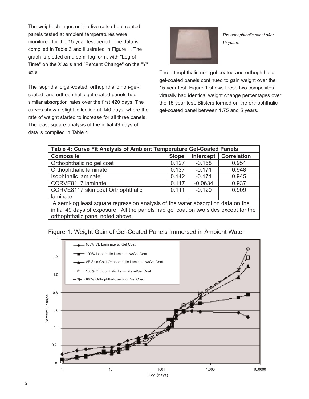The weight changes on the five sets of gel-coated panels tested at ambient temperatures were monitored for the 15-year test period. The data is compiled in Table 3 and illustrated in Figure 1. The graph is plotted on a semi-log form, with "Log of Time" on the X axis and "Percent Change" on the "Y" axis.

The isophthalic gel-coated, orthophthalic non-gelcoated, and orthophthalic gel-coated panels had similar absorption rates over the first 420 days. The curves show a slight inflection at 140 days, where the rate of weight started to increase for all three panels. The least square analysis of the initial 49 days of data is compiled in Table 4.



*The orthophthalic panel after 15 years.*

The orthophthalic non-gel-coated and orthophthalic gel-coated panels continued to gain weight over the 15-year test. Figure 1 shows these two composites virtually had identical weight change percentages over the 15-year test. Blisters formed on the orthophthalic gel-coated panel between 1.75 and 5 years.

| Table 4: Curve Fit Analysis of Ambient Temperature Gel-Coated Panels                 |              |           |                    |  |
|--------------------------------------------------------------------------------------|--------------|-----------|--------------------|--|
| <b>Composite</b>                                                                     | <b>Slope</b> | Intercept | <b>Correlation</b> |  |
| Orthophthalic no gel coat                                                            | 0.127        | $-0.158$  | 0.951              |  |
| Orthophthalic laminate                                                               | 0.137        | $-0.171$  | 0.948              |  |
| Isophthalic laminate                                                                 | 0.142        | $-0.171$  | 0.945              |  |
| CORVE8117 laminate                                                                   | 0.117        | $-0.0634$ | 0.937              |  |
| CORVE8117 skin coat Orthophthalic                                                    | 0.111        | $-0.120$  | 0.909              |  |
| laminate                                                                             |              |           |                    |  |
| A semi-log least square regression analysis of the water absorption data on the      |              |           |                    |  |
| initial 49 days of exposure. All the panels had gel coat on two sides except for the |              |           |                    |  |
| orthophthalic panel noted above.                                                     |              |           |                    |  |



Figure 1: Weight Gain of Gel-Coated Panels Immersed in Ambient Water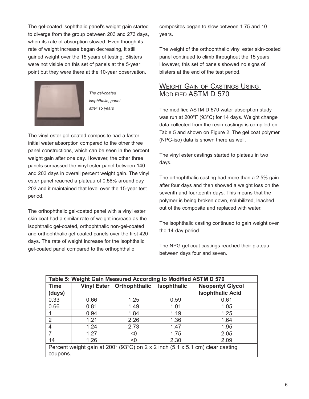The gel-coated isophthalic panel's weight gain started to diverge from the group between 203 and 273 days, when its rate of absorption slowed. Even though its rate of weight increase began decreasing, it still gained weight over the 15 years of testing. Blisters were not visible on this set of panels at the 5-year point but they were there at the 10-year observation.



*The gel-coated isophthalic, panel after 15 years*

The vinyl ester gel-coated composite had a faster initial water absorption compared to the other three panel constructions, which can be seen in the percent weight gain after one day. However, the other three panels surpassed the vinyl ester panel between 140 and 203 days in overall percent weight gain. The vinyl ester panel reached a plateau of 0.56% around day 203 and it maintained that level over the 15-year test period.

The orthophthalic gel-coated panel with a vinyl ester skin coat had a similar rate of weight increase as the isophthalic gel-coated, orthophthalic non-gel-coated and orthophthalic gel-coated panels over the first 420 days. The rate of weight increase for the isophthalic gel-coated panel compared to the orthophthalic

composites began to slow between 1.75 and 10 years.

The weight of the orthophthalic vinyl ester skin-coated panel continued to climb throughout the 15 years. However, this set of panels showed no signs of blisters at the end of the test period.

#### WEIGHT GAIN OF CASTINGS USING MODIFIED ASTM D 570

The modified ASTM D 570 water absorption study was run at 200°F (93°C) for 14 days. Weight change data collected from the resin castings is compiled on Table 5 and shown on Figure 2. The gel coat polymer (NPG-iso) data is shown there as well.

The vinyl ester castings started to plateau in two days.

The orthophthalic casting had more than a 2.5% gain after four days and then showed a weight loss on the seventh and fourteenth days. This means that the polymer is being broken down, solubilized, leached out of the composite and replaced with water.

The isophthalic casting continued to gain weight over the 14-day period.

The NPG gel coat castings reached their plateau between days four and seven.

| Table 5: Weight Gain Measured According to Modified ASTM D 570                                     |      |                             |                    |                         |  |
|----------------------------------------------------------------------------------------------------|------|-----------------------------|--------------------|-------------------------|--|
| <b>Time</b>                                                                                        |      | Vinyl Ester   Orthophthalic | <b>Isophthalic</b> | <b>Neopentyl Glycol</b> |  |
| (days)                                                                                             |      |                             |                    | <b>Isophthalic Acid</b> |  |
| 0.33                                                                                               | 0.66 | 1.25                        | 0.59               | 0.61                    |  |
| 0.66                                                                                               | 0.81 | 1.49                        | 1.01               | 1.05                    |  |
|                                                                                                    | 0.94 | 1.84                        | 1.19               | 1.25                    |  |
| $\overline{2}$                                                                                     | 1.21 | 2.26                        | 1.36               | 1.64                    |  |
| 4                                                                                                  | 1.24 | 2.73                        | 1.47               | 1.95                    |  |
| 7                                                                                                  | 1.27 | < 0                         | 1.75               | 2.05                    |  |
| 14                                                                                                 | 1.26 | < 0                         | 2.30               | 2.09                    |  |
| Percent weight gain at 200 $^{\circ}$ (93 $^{\circ}$ C) on 2 x 2 inch (5.1 x 5.1 cm) clear casting |      |                             |                    |                         |  |
| coupons.                                                                                           |      |                             |                    |                         |  |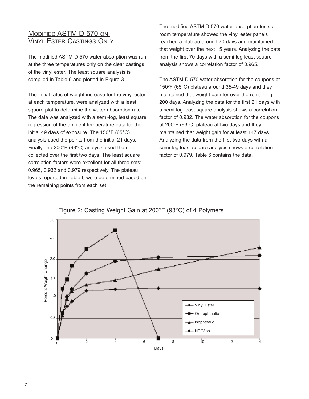#### MODIFIED ASTM D 570 ON VINYL ESTER CASTINGS ONLY

The modified ASTM D 570 water absorption was run at the three temperatures only on the clear castings of the vinyl ester. The least square analysis is compiled in Table 6 and plotted in Figure 3.

The initial rates of weight increase for the vinyl ester, at each temperature, were analyzed with a least square plot to determine the water absorption rate. The data was analyzed with a semi-log, least square regression of the ambient temperature data for the initial 49 days of exposure. The 150°F (65°C) analysis used the points from the initial 21 days. Finally, the 200°F (93°C) analysis used the data collected over the first two days. The least square correlation factors were excellent for all three sets: 0.965, 0.932 and 0.979 respectively. The plateau levels reported in Table 6 were determined based on the remaining points from each set.

The modified ASTM D 570 water absorption tests at room temperature showed the vinyl ester panels reached a plateau around 70 days and maintained that weight over the next 15 years. Analyzing the data from the first 70 days with a semi-log least square analysis shows a correlation factor of 0.965.

The ASTM D 570 water absorption for the coupons at 150ºF (65°C) plateau around 35-49 days and they maintained that weight gain for over the remaining 200 days. Analyzing the data for the first 21 days with a semi-log least square analysis shows a correlation factor of 0.932. The water absorption for the coupons at 200ºF (93°C) plateau at two days and they maintained that weight gain for at least 147 days. Analyzing the data from the first two days with a semi-log least square analysis shows a correlation factor of 0.979. Table 6 contains the data.



#### Figure 2: Casting Weight Gain at 200°F (93°C) of 4 Polymers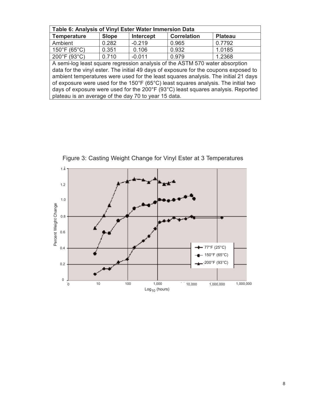| Table 6: Analysis of Vinyl Ester Water Immersion Data                                                                                                                |              |                  |                    |                |  |
|----------------------------------------------------------------------------------------------------------------------------------------------------------------------|--------------|------------------|--------------------|----------------|--|
| <b>Temperature</b>                                                                                                                                                   | <b>Slope</b> | <b>Intercept</b> | <b>Correlation</b> | <b>Plateau</b> |  |
| Ambient                                                                                                                                                              | 0.282        | $-0.219$         | 0.965              | 0.7792         |  |
| $150^{\circ}$ F (65 $^{\circ}$ C)                                                                                                                                    | 0.351        | 0.106            | 0.932              | 1.0185         |  |
| 200°F (93°C)                                                                                                                                                         | 0.710        | $-0.011$         | 0.979              | 1.2368         |  |
| A semi-log least square regression analysis of the ASTM 570 water absorption<br>data for the vinyl ester. The initial 49 days of exposure for the coupons exposed to |              |                  |                    |                |  |
| ambient temperatures were used for the least squares analysis. The initial 21 days                                                                                   |              |                  |                    |                |  |
| of exposure were used for the 150°F (65°C) least squares analysis. The initial two                                                                                   |              |                  |                    |                |  |
| days of exposure were used for the 200°F (93°C) least squares analysis. Reported                                                                                     |              |                  |                    |                |  |

plateau is an average of the day 70 to year 15 data.



Figure 3: Casting Weight Change for Vinyl Ester at 3 Temperatures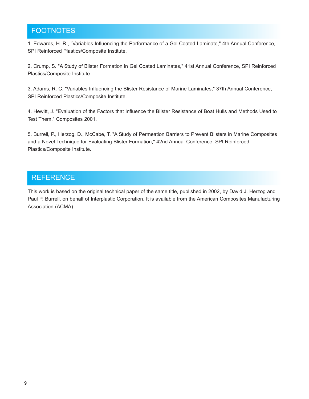# FOOTNOTES

1. Edwards, H. R., "Variables Influencing the Performance of a Gel Coated Laminate," 4th Annual Conference, SPI Reinforced Plastics/Composite Institute.

2. Crump, S. "A Study of Blister Formation in Gel Coated Laminates," 41st Annual Conference, SPI Reinforced Plastics/Composite Institute.

3. Adams, R. C. "Variables Influencing the Blister Resistance of Marine Laminates," 37th Annual Conference, SPI Reinforced Plastics/Composite Institute.

4. Hewitt, J. "Evaluation of the Factors that Influence the Blister Resistance of Boat Hulls and Methods Used to Test Them," Composites 2001.

5. Burrell, P., Herzog, D., McCabe, T. "A Study of Permeation Barriers to Prevent Blisters in Marine Composites and a Novel Technique for Evaluating Blister Formation," 42nd Annual Conference, SPI Reinforced Plastics/Composite Institute.

## **REFERENCE**

This work is based on the original technical paper of the same title, published in 2002, by David J. Herzog and Paul P. Burrell, on behalf of Interplastic Corporation. It is available from the American Composites Manufacturing Association (ACMA).